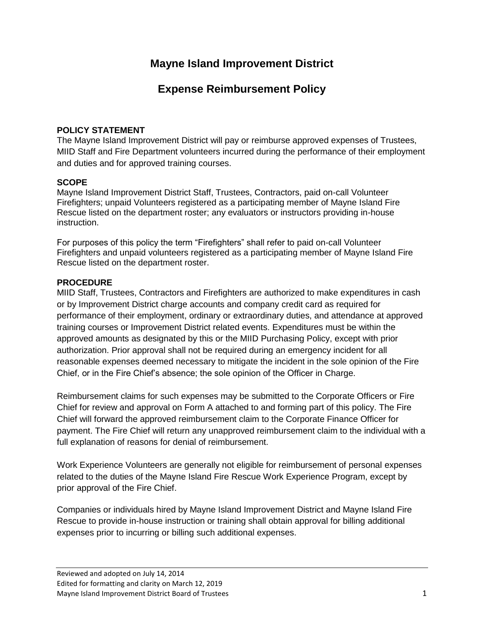## **Mayne Island Improvement District**

# **Expense Reimbursement Policy**

### **POLICY STATEMENT**

The Mayne Island Improvement District will pay or reimburse approved expenses of Trustees, MIID Staff and Fire Department volunteers incurred during the performance of their employment and duties and for approved training courses.

#### **SCOPE**

Mayne Island Improvement District Staff, Trustees, Contractors, paid on-call Volunteer Firefighters; unpaid Volunteers registered as a participating member of Mayne Island Fire Rescue listed on the department roster; any evaluators or instructors providing in-house instruction.

For purposes of this policy the term "Firefighters" shall refer to paid on-call Volunteer Firefighters and unpaid volunteers registered as a participating member of Mayne Island Fire Rescue listed on the department roster.

#### **PROCEDURE**

MIID Staff, Trustees, Contractors and Firefighters are authorized to make expenditures in cash or by Improvement District charge accounts and company credit card as required for performance of their employment, ordinary or extraordinary duties, and attendance at approved training courses or Improvement District related events. Expenditures must be within the approved amounts as designated by this or the MIID Purchasing Policy, except with prior authorization. Prior approval shall not be required during an emergency incident for all reasonable expenses deemed necessary to mitigate the incident in the sole opinion of the Fire Chief, or in the Fire Chief's absence; the sole opinion of the Officer in Charge.

Reimbursement claims for such expenses may be submitted to the Corporate Officers or Fire Chief for review and approval on Form A attached to and forming part of this policy. The Fire Chief will forward the approved reimbursement claim to the Corporate Finance Officer for payment. The Fire Chief will return any unapproved reimbursement claim to the individual with a full explanation of reasons for denial of reimbursement.

Work Experience Volunteers are generally not eligible for reimbursement of personal expenses related to the duties of the Mayne Island Fire Rescue Work Experience Program, except by prior approval of the Fire Chief.

Companies or individuals hired by Mayne Island Improvement District and Mayne Island Fire Rescue to provide in-house instruction or training shall obtain approval for billing additional expenses prior to incurring or billing such additional expenses.